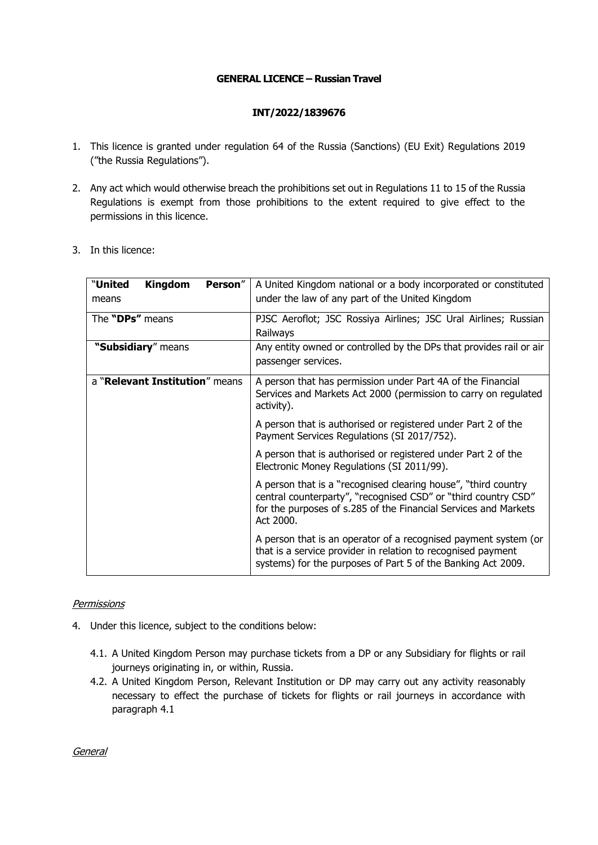## **GENERAL LICENCE – Russian Travel**

## **INT/2022/1839676**

- 1. This licence is granted under regulation 64 of the Russia (Sanctions) (EU Exit) Regulations 2019 ("the Russia Regulations").
- 2. Any act which would otherwise breach the prohibitions set out in Regulations 11 to 15 of the Russia Regulations is exempt from those prohibitions to the extent required to give effect to the permissions in this licence.
- 3. In this licence:

| "United<br><b>Kingdom</b><br>Person"<br>means | A United Kingdom national or a body incorporated or constituted<br>under the law of any part of the United Kingdom                                                                                               |
|-----------------------------------------------|------------------------------------------------------------------------------------------------------------------------------------------------------------------------------------------------------------------|
| The "DPs" means                               | PJSC Aeroflot; JSC Rossiya Airlines; JSC Ural Airlines; Russian<br>Railways                                                                                                                                      |
| "Subsidiary" means                            | Any entity owned or controlled by the DPs that provides rail or air<br>passenger services.                                                                                                                       |
| a "Relevant Institution" means                | A person that has permission under Part 4A of the Financial<br>Services and Markets Act 2000 (permission to carry on regulated<br>activity).                                                                     |
|                                               | A person that is authorised or registered under Part 2 of the<br>Payment Services Regulations (SI 2017/752).                                                                                                     |
|                                               | A person that is authorised or registered under Part 2 of the<br>Electronic Money Regulations (SI 2011/99).                                                                                                      |
|                                               | A person that is a "recognised clearing house", "third country<br>central counterparty", "recognised CSD" or "third country CSD"<br>for the purposes of s.285 of the Financial Services and Markets<br>Act 2000. |
|                                               | A person that is an operator of a recognised payment system (or<br>that is a service provider in relation to recognised payment<br>systems) for the purposes of Part 5 of the Banking Act 2009.                  |

## **Permissions**

- 4. Under this licence, subject to the conditions below:
	- 4.1. A United Kingdom Person may purchase tickets from a DP or any Subsidiary for flights or rail journeys originating in, or within, Russia.
	- 4.2. A United Kingdom Person, Relevant Institution or DP may carry out any activity reasonably necessary to effect the purchase of tickets for flights or rail journeys in accordance with paragraph 4.1

General